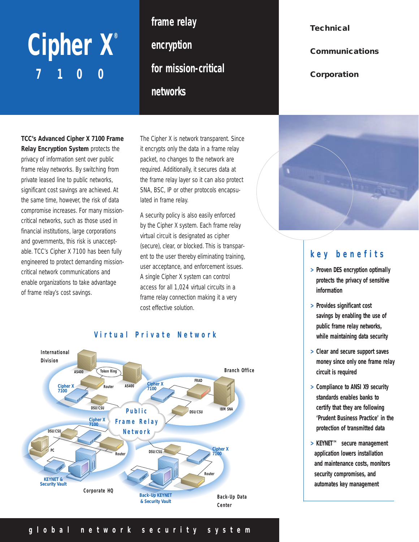# Cipher X® **7100**

**frame relay encryption for mission-critical networks**

**TCC's Advanced Cipher X 7100 Frame Relay Encryption System** protects the privacy of information sent over public frame relay networks. By switching from private leased line to public networks, significant cost savings are achieved. At the same time, however, the risk of data compromise increases. For many missioncritical networks, such as those used in financial institutions, large corporations and governments, this risk is unacceptable. TCC's Cipher X 7100 has been fully engineered to protect demanding missioncritical network communications and enable organizations to take advantage of frame relay's cost savings.

The Cipher X is network transparent. Since it encrypts only the data in a frame relay packet, no changes to the network are required. Additionally, it secures data at the frame relay layer so it can also protect SNA, BSC, IP or other protocols encapsulated in frame relay.

A security policy is also easily enforced by the Cipher X system. Each frame relay virtual circuit is designated as cipher (secure), clear, or blocked. This is transparent to the user thereby eliminating training, user acceptance, and enforcement issues. A single Cipher X system can control access for all 1,024 virtual circuits in a frame relay connection making it a very cost effective solution.



## **information**

- **> Provides significant cost savings by enabling the use of public frame relay networks, while maintaining data security**
- **> Clear and secure support saves money since only one frame relay circuit is required**
- **> Compliance to ANSI X9 security standards enables banks to certify that they are following 'Prudent Business Practice' in the protection of transmitted data**
- **> KEYNET™ secure management application lowers installation and maintenance costs, monitors security compromises, and automates key management**

**key benefits**

- **> Proven DES encryption optimally protects the privacy of sensitive**
- 

**Technical**

**Corporation**

**Communications**

### **global network security system**